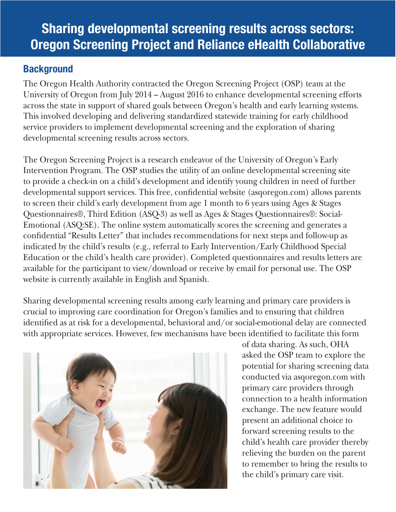# Sharing developmental screening results across sectors: Oregon Screening Project and Reliance eHealth Collaborative

### **Background**

The Oregon Health Authority contracted the Oregon Screening Project (OSP) team at the University of Oregon from July 2014 – August 2016 to enhance developmental screening efforts across the state in support of shared goals between Oregon's health and early learning systems. This involved developing and delivering standardized statewide training for early childhood service providers to implement developmental screening and the exploration of sharing developmental screening results across sectors.

The Oregon Screening Project is a research endeavor of the University of Oregon's Early Intervention Program. The OSP studies the utility of an online developmental screening site to provide a check-in on a child's development and identify young children in need of further developmental support services. This free, confidential website (asqoregon.com) allows parents to screen their child's early development from age 1 month to 6 years using Ages & Stages Questionnaires®, Third Edition (ASQ-3) as well as Ages & Stages Questionnaires®: Social-Emotional (ASQ:SE). The online system automatically scores the screening and generates a confidential "Results Letter" that includes recommendations for next steps and follow-up as indicated by the child's results (e.g., referral to Early Intervention/Early Childhood Special Education or the child's health care provider). Completed questionnaires and results letters are available for the participant to view/download or receive by email for personal use. The OSP website is currently available in English and Spanish.

Sharing developmental screening results among early learning and primary care providers is crucial to improving care coordination for Oregon's families and to ensuring that children identified as at risk for a developmental, behavioral and/or social-emotional delay are connected with appropriate services. However, few mechanisms have been identified to facilitate this form



of data sharing. As such, OHA asked the OSP team to explore the potential for sharing screening data conducted via asqoregon.com with primary care providers through connection to a health information exchange. The new feature would present an additional choice to forward screening results to the child's health care provider thereby relieving the burden on the parent to remember to bring the results to the child's primary care visit.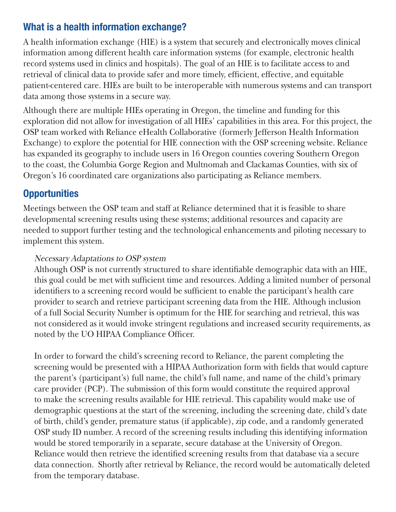## What is a health information exchange?

A health information exchange (HIE) is a system that securely and electronically moves clinical information among different health care information systems (for example, electronic health record systems used in clinics and hospitals). The goal of an HIE is to facilitate access to and retrieval of clinical data to provide safer and more timely, efficient, effective, and equitable patient-centered care. HIEs are built to be interoperable with numerous systems and can transport data among those systems in a secure way.

Although there are multiple HIEs operating in Oregon, the timeline and funding for this exploration did not allow for investigation of all HIEs' capabilities in this area. For this project, the OSP team worked with Reliance eHealth Collaborative (formerly Jefferson Health Information Exchange) to explore the potential for HIE connection with the OSP screening website. Reliance has expanded its geography to include users in 16 Oregon counties covering Southern Oregon to the coast, the Columbia Gorge Region and Multnomah and Clackamas Counties, with six of Oregon's 16 coordinated care organizations also participating as Reliance members.

## **Opportunities**

Meetings between the OSP team and staff at Reliance determined that it is feasible to share developmental screening results using these systems; additional resources and capacity are needed to support further testing and the technological enhancements and piloting necessary to implement this system.

#### Necessary Adaptations to OSP system

Although OSP is not currently structured to share identifiable demographic data with an HIE, this goal could be met with sufficient time and resources. Adding a limited number of personal identifiers to a screening record would be sufficient to enable the participant's health care provider to search and retrieve participant screening data from the HIE. Although inclusion of a full Social Security Number is optimum for the HIE for searching and retrieval, this was not considered as it would invoke stringent regulations and increased security requirements, as noted by the UO HIPAA Compliance Officer.

In order to forward the child's screening record to Reliance, the parent completing the screening would be presented with a HIPAA Authorization form with fields that would capture the parent's (participant's) full name, the child's full name, and name of the child's primary care provider (PCP). The submission of this form would constitute the required approval to make the screening results available for HIE retrieval. This capability would make use of demographic questions at the start of the screening, including the screening date, child's date of birth, child's gender, premature status (if applicable), zip code, and a randomly generated OSP study ID number. A record of the screening results including this identifying information would be stored temporarily in a separate, secure database at the University of Oregon. Reliance would then retrieve the identified screening results from that database via a secure data connection. Shortly after retrieval by Reliance, the record would be automatically deleted from the temporary database.